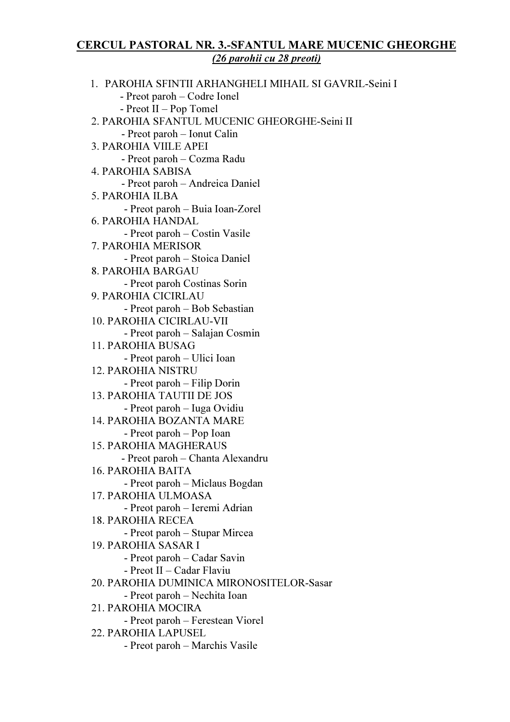## CERCUL PASTORAL NR. 3.-SFANTUL MARE MUCENIC GHEORGHE (26 parohii cu 28 preoti)

1. PAROHIA SFINTII ARHANGHELI MIHAIL SI GAVRIL-Seini I - Preot paroh – Codre Ionel - Preot II – Pop Tomel 2. PAROHIA SFANTUL MUCENIC GHEORGHE-Seini II - Preot paroh – Ionut Calin 3. PAROHIA VIILE APEI - Preot paroh – Cozma Radu 4. PAROHIA SABISA - Preot paroh – Andreica Daniel 5. PAROHIA ILBA - Preot paroh – Buia Ioan-Zorel 6. PAROHIA HANDAL - Preot paroh – Costin Vasile 7. PAROHIA MERISOR - Preot paroh – Stoica Daniel 8. PAROHIA BARGAU - Preot paroh Costinas Sorin 9. PAROHIA CICIRLAU - Preot paroh – Bob Sebastian 10. PAROHIA CICIRLAU-VII - Preot paroh – Salajan Cosmin 11. PAROHIA BUSAG - Preot paroh – Ulici Ioan 12. PAROHIA NISTRU - Preot paroh – Filip Dorin 13. PAROHIA TAUTII DE JOS - Preot paroh – Iuga Ovidiu 14. PAROHIA BOZANTA MARE - Preot paroh – Pop Ioan 15. PAROHIA MAGHERAUS - Preot paroh – Chanta Alexandru 16. PAROHIA BAITA - Preot paroh – Miclaus Bogdan 17. PAROHIA ULMOASA - Preot paroh – Ieremi Adrian 18. PAROHIA RECEA - Preot paroh – Stupar Mircea 19. PAROHIA SASAR I - Preot paroh – Cadar Savin - Preot II – Cadar Flaviu 20. PAROHIA DUMINICA MIRONOSITELOR-Sasar - Preot paroh – Nechita Ioan 21. PAROHIA MOCIRA - Preot paroh – Ferestean Viorel 22. PAROHIA LAPUSEL - Preot paroh – Marchis Vasile